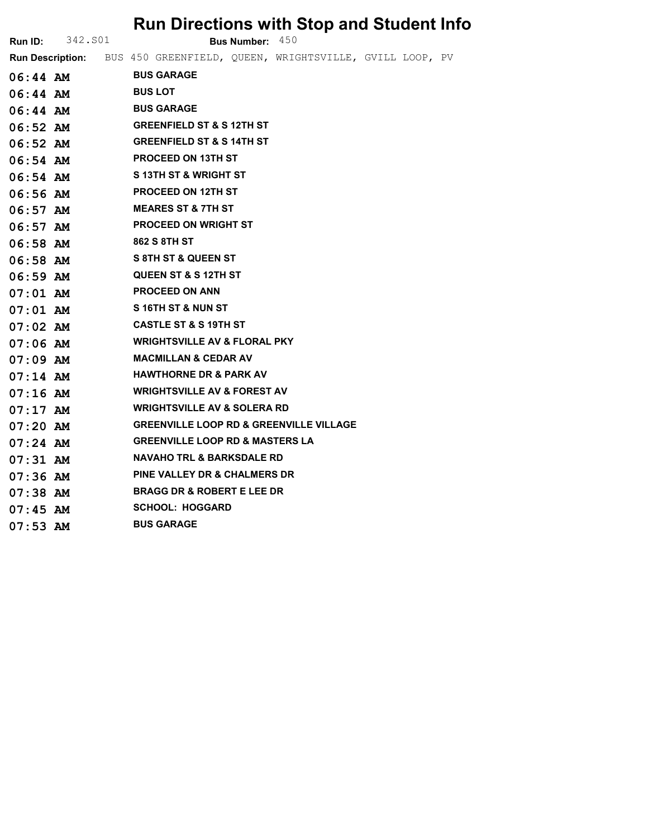|                |                         | <b>Run Directions with Stop and Student Info</b>        |
|----------------|-------------------------|---------------------------------------------------------|
| <b>Run ID:</b> | 342.S01                 | Bus Number: 450                                         |
|                | <b>Run Description:</b> | BUS 450 GREENFIELD, QUEEN, WRIGHTSVILLE, GVILL LOOP, PV |
| $06:44$ AM     |                         | <b>BUS GARAGE</b>                                       |
| $06:44$ AM     |                         | <b>BUS LOT</b>                                          |
| $06:44$ AM     |                         | <b>BUS GARAGE</b>                                       |
| $06:52$ AM     |                         | <b>GREENFIELD ST &amp; S 12TH ST</b>                    |
| $06:52$ AM     |                         | <b>GREENFIELD ST &amp; S 14TH ST</b>                    |
| $06:54$ AM     |                         | <b>PROCEED ON 13TH ST</b>                               |
| $06:54$ AM     |                         | S 13TH ST & WRIGHT ST                                   |
| $06:56$ AM     |                         | <b>PROCEED ON 12TH ST</b>                               |
| $06:57$ AM     |                         | <b>MEARES ST &amp; 7TH ST</b>                           |
| $06:57$ AM     |                         | <b>PROCEED ON WRIGHT ST</b>                             |
| $06:58$ AM     |                         | 862 S 8TH ST                                            |
| $06:58$ AM     |                         | <b>S 8TH ST &amp; QUEEN ST</b>                          |
| $06:59$ AM     |                         | <b>QUEEN ST &amp; S 12TH ST</b>                         |
| $07:01$ AM     |                         | <b>PROCEED ON ANN</b>                                   |
| $07:01$ AM     |                         | S16TH ST & NUN ST                                       |
| $07:02$ AM     |                         | <b>CASTLE ST &amp; S 19TH ST</b>                        |
| $07:06$ AM     |                         | <b>WRIGHTSVILLE AV &amp; FLORAL PKY</b>                 |
| $07:09$ AM     |                         | <b>MACMILLAN &amp; CEDAR AV</b>                         |
| $07:14$ AM     |                         | <b>HAWTHORNE DR &amp; PARK AV</b>                       |
| $07:16$ AM     |                         | <b>WRIGHTSVILLE AV &amp; FOREST AV</b>                  |
| $07:17$ AM     |                         | <b>WRIGHTSVILLE AV &amp; SOLERA RD</b>                  |
| $07:20$ AM     |                         | <b>GREENVILLE LOOP RD &amp; GREENVILLE VILLAGE</b>      |
| $07:24$ AM     |                         | <b>GREENVILLE LOOP RD &amp; MASTERS LA</b>              |
| $07:31$ AM     |                         | <b>NAVAHO TRL &amp; BARKSDALE RD</b>                    |
| $07:36$ AM     |                         | <b>PINE VALLEY DR &amp; CHALMERS DR</b>                 |
| $07:38$ AM     |                         | <b>BRAGG DR &amp; ROBERT E LEE DR</b>                   |

- 07:45 AM SCHOOL: HOGGARD<br>07:53 AM BUS GARAGE
- $07:53$  AM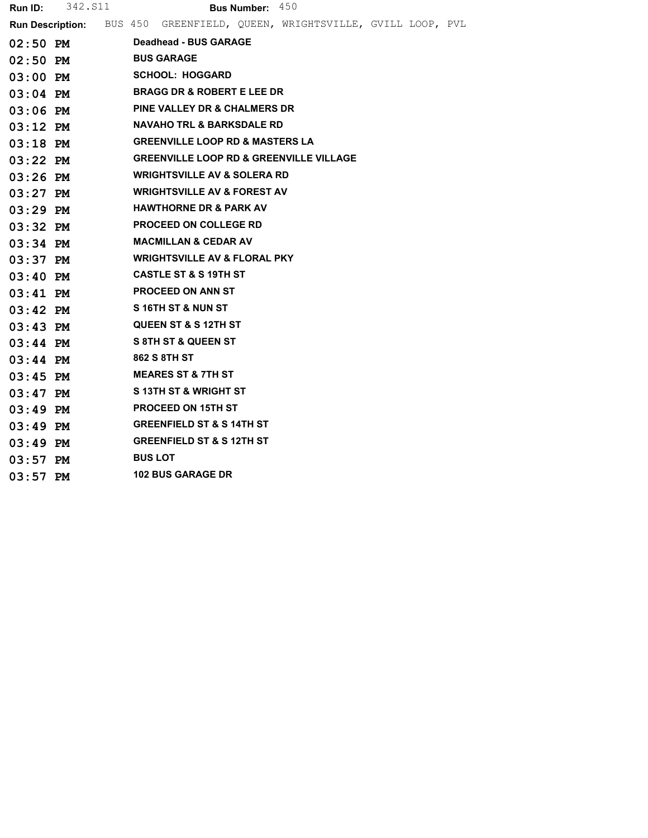| <b>Run ID:</b> | 342.S11 |  |                |                   |                                      | <b>Bus Number:</b> $450$                   |                                                                           |  |  |
|----------------|---------|--|----------------|-------------------|--------------------------------------|--------------------------------------------|---------------------------------------------------------------------------|--|--|
|                |         |  |                |                   |                                      |                                            | Run Description: BUS 450 GREENFIELD, QUEEN, WRIGHTSVILLE, GVILL LOOP, PVL |  |  |
| $02:50$ PM     |         |  |                |                   | Deadhead - BUS GARAGE                |                                            |                                                                           |  |  |
| $02:50$ PM     |         |  |                | <b>BUS GARAGE</b> |                                      |                                            |                                                                           |  |  |
| $03:00$ PM     |         |  |                |                   | <b>SCHOOL: HOGGARD</b>               |                                            |                                                                           |  |  |
| $03:04$ PM     |         |  |                |                   |                                      | <b>BRAGG DR &amp; ROBERT E LEE DR</b>      |                                                                           |  |  |
| $03:06$ PM     |         |  |                |                   |                                      | <b>PINE VALLEY DR &amp; CHALMERS DR</b>    |                                                                           |  |  |
| $03:12$ PM     |         |  |                |                   |                                      | <b>NAVAHO TRL &amp; BARKSDALE RD</b>       |                                                                           |  |  |
| $03:18$ PM     |         |  |                |                   |                                      | <b>GREENVILLE LOOP RD &amp; MASTERS LA</b> |                                                                           |  |  |
| $03:22$ PM     |         |  |                |                   |                                      |                                            | <b>GREENVILLE LOOP RD &amp; GREENVILLE VILLAGE</b>                        |  |  |
| $03:26$ PM     |         |  |                |                   |                                      | <b>WRIGHTSVILLE AV &amp; SOLERA RD</b>     |                                                                           |  |  |
| $03:27$ PM     |         |  |                |                   |                                      | <b>WRIGHTSVILLE AV &amp; FOREST AV</b>     |                                                                           |  |  |
| $03:29$ PM     |         |  |                |                   | <b>HAWTHORNE DR &amp; PARK AV</b>    |                                            |                                                                           |  |  |
| $03:32$ PM     |         |  |                |                   | <b>PROCEED ON COLLEGE RD</b>         |                                            |                                                                           |  |  |
| $03:34$ PM     |         |  |                |                   | <b>MACMILLAN &amp; CEDAR AV</b>      |                                            |                                                                           |  |  |
| $03:37$ PM     |         |  |                |                   |                                      | <b>WRIGHTSVILLE AV &amp; FLORAL PKY</b>    |                                                                           |  |  |
| $03:40$ PM     |         |  |                |                   | <b>CASTLE ST &amp; S 19TH ST</b>     |                                            |                                                                           |  |  |
| $03:41$ PM     |         |  |                |                   | <b>PROCEED ON ANN ST</b>             |                                            |                                                                           |  |  |
| $03:42$ PM     |         |  |                |                   | S16TH ST & NUN ST                    |                                            |                                                                           |  |  |
| $03:43$ PM     |         |  |                |                   | <b>QUEEN ST &amp; S 12TH ST</b>      |                                            |                                                                           |  |  |
| $03:44$ PM     |         |  |                |                   | <b>S 8TH ST &amp; QUEEN ST</b>       |                                            |                                                                           |  |  |
| $03:44$ PM     |         |  |                | 862 S 8TH ST      |                                      |                                            |                                                                           |  |  |
| $03:45$ PM     |         |  |                |                   | <b>MEARES ST &amp; 7TH ST</b>        |                                            |                                                                           |  |  |
| $03:47$ PM     |         |  |                |                   | S 13TH ST & WRIGHT ST                |                                            |                                                                           |  |  |
| $03:49$ PM     |         |  |                |                   | <b>PROCEED ON 15TH ST</b>            |                                            |                                                                           |  |  |
| $03:49$ PM     |         |  |                |                   | <b>GREENFIELD ST &amp; S 14TH ST</b> |                                            |                                                                           |  |  |
| $03:49$ PM     |         |  |                |                   | <b>GREENFIELD ST &amp; S 12TH ST</b> |                                            |                                                                           |  |  |
| $03:57$ PM     |         |  | <b>BUS LOT</b> |                   |                                      |                                            |                                                                           |  |  |
| $03:57$ PM     |         |  |                |                   | <b>102 BUS GARAGE DR</b>             |                                            |                                                                           |  |  |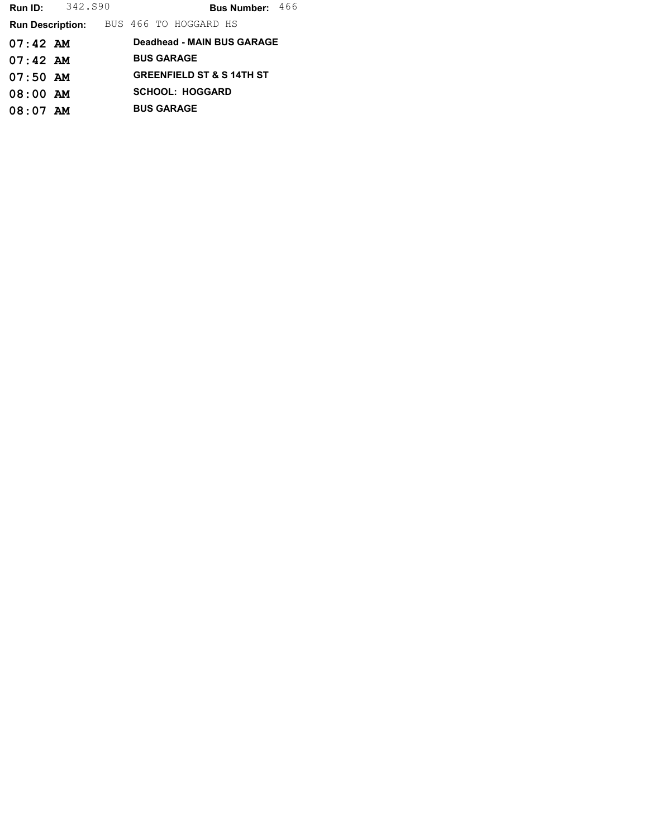| Run ID:                 | 342.S90 |  |                                      | <b>Bus Number:</b> $466$ |  |
|-------------------------|---------|--|--------------------------------------|--------------------------|--|
| <b>Run Description:</b> |         |  | BUS 466 TO HOGGARD HS                |                          |  |
| $07:42$ AM              |         |  | Deadhead - MAIN BUS GARAGE           |                          |  |
| $07:42$ AM              |         |  | <b>BUS GARAGE</b>                    |                          |  |
| $07:50$ AM              |         |  | <b>GREENFIELD ST &amp; S 14TH ST</b> |                          |  |
| $08:00$ AM              |         |  | <b>SCHOOL: HOGGARD</b>               |                          |  |
| $08:07$ AM              |         |  | <b>BUS GARAGE</b>                    |                          |  |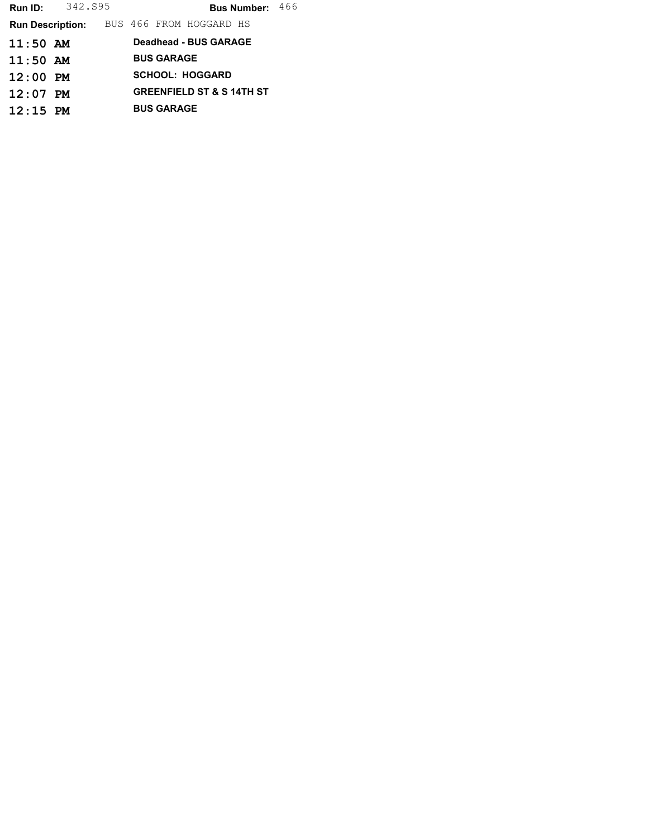| <b>Run ID:</b>          | 342.S95 |                                      |  |                   |                         | <b>Bus Number:</b> $466$ |  |
|-------------------------|---------|--------------------------------------|--|-------------------|-------------------------|--------------------------|--|
| <b>Run Description:</b> |         |                                      |  |                   | BUS 466 FROM HOGGARD HS |                          |  |
| $11:50$ AM              |         |                                      |  |                   | Deadhead - BUS GARAGE   |                          |  |
| $11:50$ AM              |         |                                      |  | <b>BUS GARAGE</b> |                         |                          |  |
| $12:00$ PM              |         |                                      |  |                   | <b>SCHOOL: HOGGARD</b>  |                          |  |
| $12:07$ PM              |         | <b>GREENFIELD ST &amp; S 14TH ST</b> |  |                   |                         |                          |  |
| $12:15$ PM              |         |                                      |  | <b>BUS GARAGE</b> |                         |                          |  |